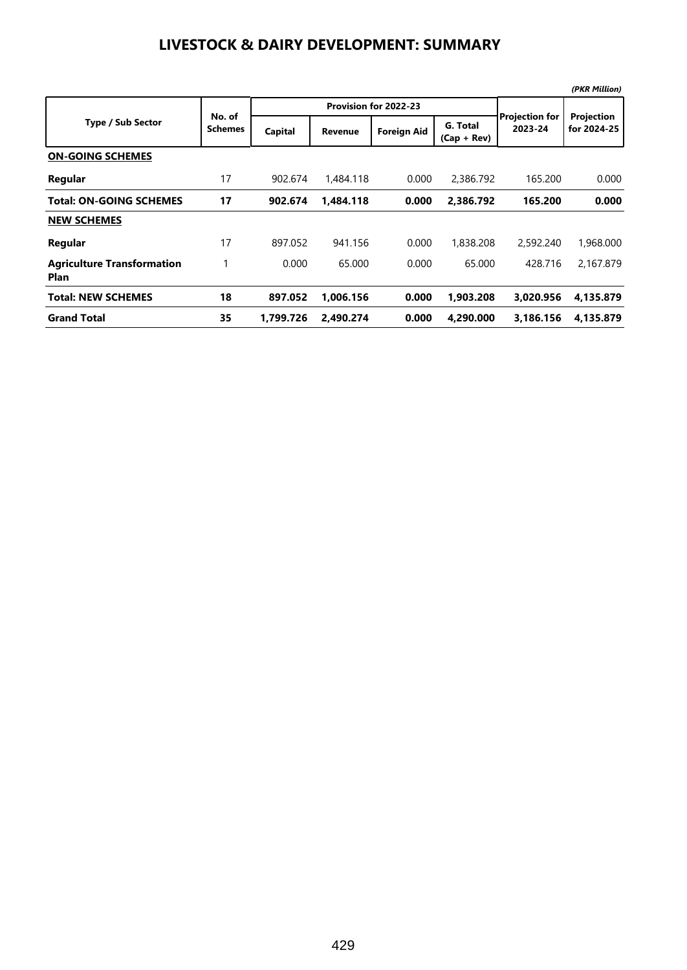#### **LIVESTOCK & DAIRY DEVELOPMENT: SUMMARY**

|                                                  |                          |           |                |                       |                           |                                  | (PKR Million)             |
|--------------------------------------------------|--------------------------|-----------|----------------|-----------------------|---------------------------|----------------------------------|---------------------------|
|                                                  |                          |           |                | Provision for 2022-23 |                           |                                  | Projection<br>for 2024-25 |
| <b>Type / Sub Sector</b>                         | No. of<br><b>Schemes</b> | Capital   | <b>Revenue</b> | <b>Foreign Aid</b>    | G. Total<br>$(Cap + Rev)$ | <b>Projection for</b><br>2023-24 |                           |
| <b>ON-GOING SCHEMES</b>                          |                          |           |                |                       |                           |                                  |                           |
| Regular                                          | 17                       | 902.674   | 1,484.118      | 0.000                 | 2,386.792                 | 165.200                          | 0.000                     |
| <b>Total: ON-GOING SCHEMES</b>                   | 17                       | 902.674   | 1.484.118      | 0.000                 | 2.386.792                 | 165.200                          | 0.000                     |
| <b>NEW SCHEMES</b>                               |                          |           |                |                       |                           |                                  |                           |
| Regular                                          | 17                       | 897.052   | 941.156        | 0.000                 | 1,838,208                 | 2,592,240                        | 1,968.000                 |
| <b>Agriculture Transformation</b><br><b>Plan</b> |                          | 0.000     | 65.000         | 0.000                 | 65.000                    | 428.716                          | 2,167.879                 |
| <b>Total: NEW SCHEMES</b>                        | 18                       | 897.052   | 1.006.156      | 0.000                 | 1,903.208                 | 3.020.956                        | 4,135.879                 |
| <b>Grand Total</b>                               | 35                       | 1.799.726 | 2.490.274      | 0.000                 | 4,290.000                 | 3.186.156                        | 4,135.879                 |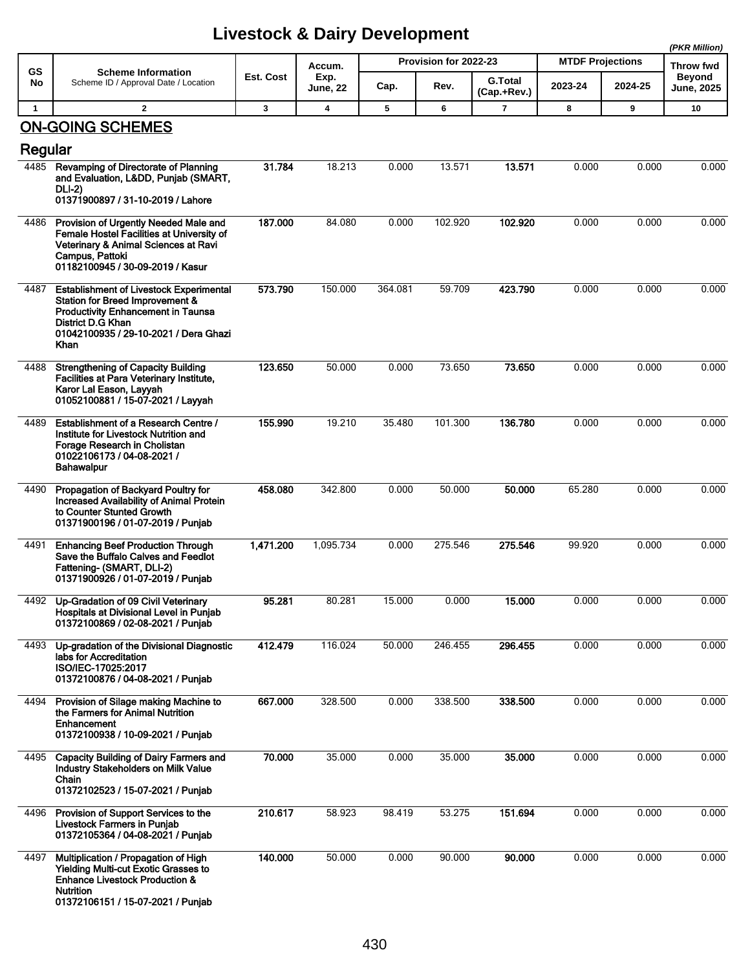|              |                                                                                                                                                                                                             |           |                |         |                                         | (PKR Million)  |                         |         |                            |
|--------------|-------------------------------------------------------------------------------------------------------------------------------------------------------------------------------------------------------------|-----------|----------------|---------|-----------------------------------------|----------------|-------------------------|---------|----------------------------|
| GS           | <b>Scheme Information</b><br>Scheme ID / Approval Date / Location                                                                                                                                           | Est. Cost | Accum.<br>Exp. |         | Provision for 2022-23<br><b>G.Total</b> |                | <b>MTDF Projections</b> |         | Throw fwd<br><b>Beyond</b> |
| No           |                                                                                                                                                                                                             |           | June, 22       | Cap.    | Rev.                                    | (Cap.+Rev.)    | 2023-24                 | 2024-25 | June, 2025                 |
| $\mathbf{1}$ | $\mathbf{2}$                                                                                                                                                                                                | 3         | 4              | 5       | 6                                       | $\overline{7}$ | 8                       | 9       | 10                         |
|              | <b>ON-GOING SCHEMES</b>                                                                                                                                                                                     |           |                |         |                                         |                |                         |         |                            |
| Regular      |                                                                                                                                                                                                             |           |                |         |                                         |                |                         |         |                            |
| 4485         | Revamping of Directorate of Planning<br>and Evaluation, Lⅅ, Puniab (SMART,<br><b>DLI-2)</b>                                                                                                                 | 31.784    | 18.213         | 0.000   | 13.571                                  | 13.571         | 0.000                   | 0.000   | 0.000                      |
|              | 01371900897 / 31-10-2019 / Lahore                                                                                                                                                                           |           |                |         |                                         |                |                         |         |                            |
|              | 4486 Provision of Urgently Needed Male and<br>Female Hostel Facilities at University of<br>Veterinary & Animal Sciences at Ravi<br>Campus, Pattoki<br>01182100945 / 30-09-2019 / Kasur                      | 187.000   | 84.080         | 0.000   | 102.920                                 | 102.920        | 0.000                   | 0.000   | 0.000                      |
| 4487         | <b>Establishment of Livestock Experimental</b><br>Station for Breed Improvement &<br><b>Productivity Enhancement in Taunsa</b><br><b>District D.G Khan</b><br>01042100935 / 29-10-2021 / Dera Ghazi<br>Khan | 573.790   | 150.000        | 364.081 | 59.709                                  | 423.790        | 0.000                   | 0.000   | 0.000                      |
| 4488         | <b>Strengthening of Capacity Building</b><br>Facilities at Para Veterinary Institute,<br>Karor Lal Eason, Layyah<br>01052100881 / 15-07-2021 / Layyah                                                       | 123.650   | 50.000         | 0.000   | 73.650                                  | 73.650         | 0.000                   | 0.000   | 0.000                      |
| 4489         | Establishment of a Research Centre /<br>Institute for Livestock Nutrition and<br>Forage Research in Cholistan<br>01022106173 / 04-08-2021 /<br><b>Bahawalpur</b>                                            | 155.990   | 19.210         | 35.480  | 101.300                                 | 136.780        | 0.000                   | 0.000   | 0.000                      |
| 4490         | Propagation of Backyard Poultry for<br><b>Increased Availability of Animal Protein</b><br>to Counter Stunted Growth<br>01371900196 / 01-07-2019 / Punjab                                                    | 458.080   | 342.800        | 0.000   | 50.000                                  | 50.000         | 65.280                  | 0.000   | 0.000                      |
| 4491         | <b>Enhancing Beef Production Through</b><br>Save the Buffalo Calves and Feedlot<br>Fattening- (SMART, DLI-2)<br>01371900926 / 01-07-2019 / Punjab                                                           | 1,471.200 | 1,095.734      | 0.000   | 275.546                                 | 275.546        | 99.920                  | 0.000   | 0.000                      |
|              | 4492 Up-Gradation of 09 Civil Veterinary<br>Hospitals at Divisional Level in Punjab<br>01372100869 / 02-08-2021 / Punjab                                                                                    | 95.281    | 80.281         | 15.000  | 0.000                                   | 15.000         | 0.000                   | 0.000   | 0.000                      |
| 4493         | Up-gradation of the Divisional Diagnostic<br>labs for Accreditation<br>ISO/IEC-17025:2017<br>01372100876 / 04-08-2021 / Punjab                                                                              | 412.479   | 116.024        | 50.000  | 246.455                                 | 296.455        | 0.000                   | 0.000   | 0.000                      |
| 4494         | Provision of Silage making Machine to<br>the Farmers for Animal Nutrition<br><b>Enhancement</b><br>01372100938 / 10-09-2021 / Punjab                                                                        | 667.000   | 328.500        | 0.000   | 338.500                                 | 338.500        | 0.000                   | 0.000   | 0.000                      |
| 4495         | Capacity Building of Dairy Farmers and<br>Industry Stakeholders on Milk Value<br>Chain<br>01372102523 / 15-07-2021 / Punjab                                                                                 | 70.000    | 35.000         | 0.000   | 35.000                                  | 35.000         | 0.000                   | 0.000   | 0.000                      |
| 4496         | Provision of Support Services to the<br>Livestock Farmers in Punjab<br>01372105364 / 04-08-2021 / Punjab                                                                                                    | 210.617   | 58.923         | 98.419  | 53.275                                  | 151.694        | 0.000                   | 0.000   | 0.000                      |
| 4497         | Multiplication / Propagation of High<br>Yielding Multi-cut Exotic Grasses to<br><b>Enhance Livestock Production &amp;</b><br><b>Nutrition</b><br>01372106151 / 15-07-2021 / Punjab                          | 140.000   | 50.000         | 0.000   | 90.000                                  | 90.000         | 0.000                   | 0.000   | 0.000                      |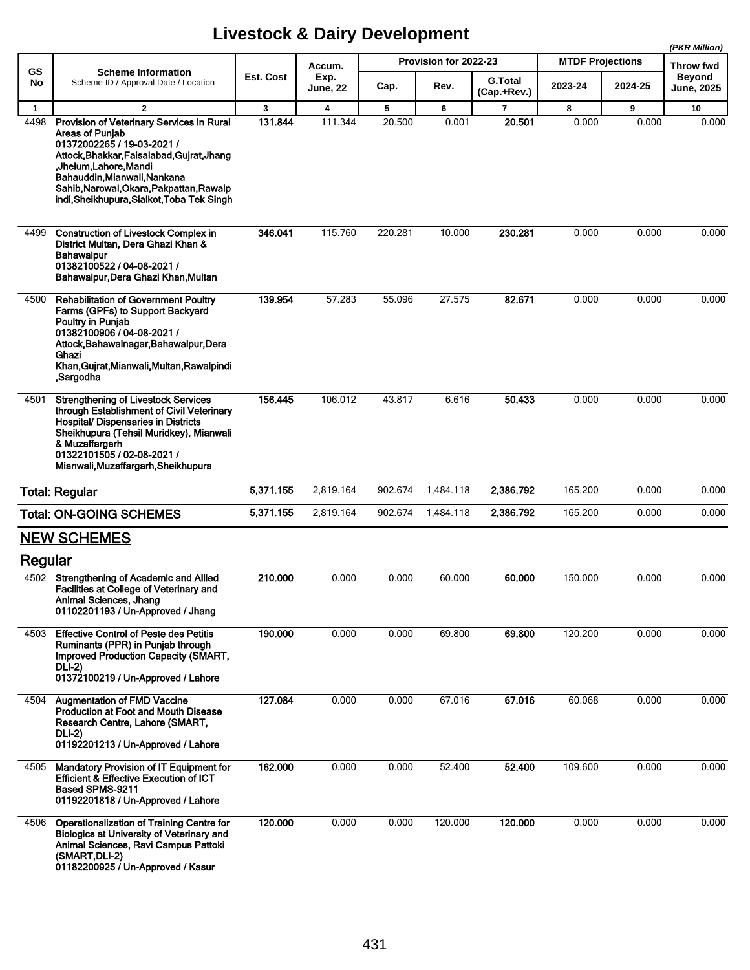|              |                                                                                                                                                                                                                                                                                                   |                  |                         |         |                       |                               |                         |         | (PKR Million)                      |  |
|--------------|---------------------------------------------------------------------------------------------------------------------------------------------------------------------------------------------------------------------------------------------------------------------------------------------------|------------------|-------------------------|---------|-----------------------|-------------------------------|-------------------------|---------|------------------------------------|--|
| GS           | <b>Scheme Information</b><br>Scheme ID / Approval Date / Location                                                                                                                                                                                                                                 | <b>Est. Cost</b> | Accum.                  |         | Provision for 2022-23 |                               | <b>MTDF Projections</b> |         | <b>Throw fwd</b>                   |  |
| No           |                                                                                                                                                                                                                                                                                                   |                  | Exp.<br><b>June, 22</b> | Cap.    | Rev.                  | <b>G.Total</b><br>(Cap.+Rev.) | 2023-24                 | 2024-25 | <b>Beyond</b><br><b>June, 2025</b> |  |
| $\mathbf{1}$ | $\overline{2}$                                                                                                                                                                                                                                                                                    | 3                | $\overline{\mathbf{4}}$ | 5       | 6                     | $\overline{7}$                | 8                       | 9       | 10                                 |  |
| 4498         | Provision of Veterinary Services in Rural<br><b>Areas of Punjab</b><br>01372002265 / 19-03-2021 /<br>Attock, Bhakkar, Faisalabad, Gujrat, Jhang<br>,Jhelum,Lahore,Mandi<br>Bahauddin, Mianwali, Nankana<br>Sahib, Narowal, Okara, Pakpattan, Rawalp<br>indi, Sheikhupura, Sialkot, Toba Tek Singh | 131.844          | 111.344                 | 20.500  | 0.001                 | 20.501                        | 0.000                   | 0.000   | 0.000                              |  |
| 4499         | <b>Construction of Livestock Complex in</b><br>District Multan, Dera Ghazi Khan &<br>Bahawalpur<br>01382100522 / 04-08-2021 /<br>Bahawalpur, Dera Ghazi Khan, Multan                                                                                                                              | 346.041          | 115.760                 | 220.281 | 10.000                | 230.281                       | 0.000                   | 0.000   | 0.000                              |  |
| 4500         | <b>Rehabilitation of Government Poultry</b><br>Farms (GPFs) to Support Backyard<br>Poultry in Punjab<br>01382100906 / 04-08-2021 /<br>Attock, Bahawalnagar, Bahawalpur, Dera<br>Ghazi<br>Khan, Gujrat, Mianwali, Multan, Rawalpindi<br>,Sargodha                                                  | 139.954          | 57.283                  | 55.096  | 27.575                | 82.671                        | 0.000                   | 0.000   | 0.000                              |  |
| 4501         | <b>Strenathening of Livestock Services</b><br>through Establishment of Civil Veterinary<br><b>Hospital/ Dispensaries in Districts</b><br>Sheikhupura (Tehsil Muridkey), Mianwali<br>& Muzaffargarh<br>01322101505 / 02-08-2021 /<br>Mianwali, Muzaffargarh, Sheikhupura                           | 156.445          | 106.012                 | 43.817  | 6.616                 | 50.433                        | 0.000                   | 0.000   | 0.000                              |  |
|              | <b>Total: Regular</b>                                                                                                                                                                                                                                                                             | 5,371.155        | 2,819.164               | 902.674 | 1,484.118             | 2,386.792                     | 165.200                 | 0.000   | 0.000                              |  |
|              | <b>Total: ON-GOING SCHEMES</b>                                                                                                                                                                                                                                                                    | 5,371.155        | 2,819.164               | 902.674 | 1,484.118             | 2,386.792                     | 165.200                 | 0.000   | 0.000                              |  |
|              | <b>NEW SCHEMES</b>                                                                                                                                                                                                                                                                                |                  |                         |         |                       |                               |                         |         |                                    |  |
| Regular      |                                                                                                                                                                                                                                                                                                   |                  |                         |         |                       |                               |                         |         |                                    |  |
|              | 4502 Strengthening of Academic and Allied<br>Facilities at College of Veterinary and<br>Animal Sciences, Jhang<br>01102201193 / Un-Approved / Jhang                                                                                                                                               | 210.000          | 0.000                   | 0.000   | 60.000                | 60.000                        | 150.000                 | 0.000   | 0.000                              |  |
| 4503         | <b>Effective Control of Peste des Petitis</b><br>Ruminants (PPR) in Punjab through<br><b>Improved Production Capacity (SMART,</b><br><b>DLI-2)</b><br>01372100219 / Un-Approved / Lahore                                                                                                          | 190.000          | 0.000                   | 0.000   | 69.800                | 69.800                        | 120.200                 | 0.000   | 0.000                              |  |
| 4504         | <b>Augmentation of FMD Vaccine</b><br><b>Production at Foot and Mouth Disease</b><br>Research Centre, Lahore (SMART,<br>DLI-2)<br>01192201213 / Un-Approved / Lahore                                                                                                                              | 127.084          | 0.000                   | 0.000   | 67.016                | 67.016                        | 60.068                  | 0.000   | 0.000                              |  |
| 4505         | <b>Mandatory Provision of IT Equipment for</b><br><b>Efficient &amp; Effective Execution of ICT</b><br>Based SPMS-9211<br>01192201818 / Un-Approved / Lahore                                                                                                                                      | 162.000          | 0.000                   | 0.000   | 52.400                | 52.400                        | 109.600                 | 0.000   | 0.000                              |  |
| 4506         | Operationalization of Training Centre for<br>Biologics at University of Veterinary and<br>Animal Sciences, Ravi Campus Pattoki<br>(SMART, DLI-2)<br>01182200925 / Un-Approved / Kasur                                                                                                             | 120.000          | 0.000                   | 0.000   | 120.000               | 120.000                       | 0.000                   | 0.000   | 0.000                              |  |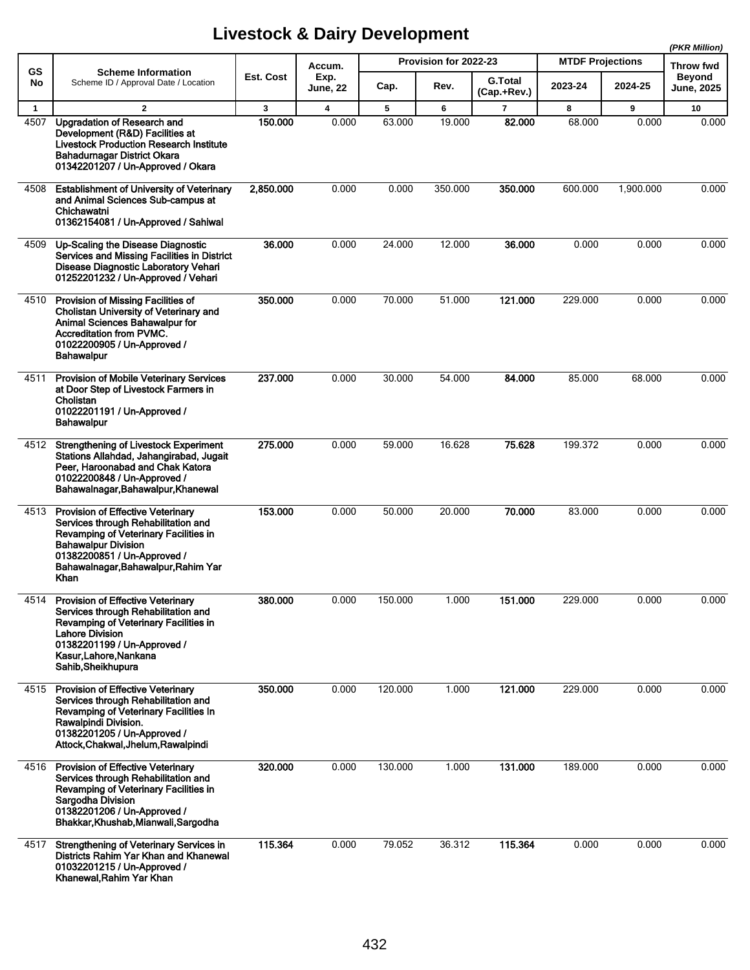|              |                                                                                                                                                                                                                                      |           |                  |         |                       |                               |                         |                            | (PKR Million)     |
|--------------|--------------------------------------------------------------------------------------------------------------------------------------------------------------------------------------------------------------------------------------|-----------|------------------|---------|-----------------------|-------------------------------|-------------------------|----------------------------|-------------------|
| <b>GS</b>    | <b>Scheme Information</b><br>Scheme ID / Approval Date / Location                                                                                                                                                                    | Est. Cost | Accum.           |         | Provision for 2022-23 |                               | <b>MTDF Projections</b> | Throw fwd<br><b>Beyond</b> |                   |
| No           |                                                                                                                                                                                                                                      |           | Exp.<br>June, 22 | Cap.    | Rev.                  | <b>G.Total</b><br>(Cap.+Rev.) | 2023-24                 | 2024-25                    | <b>June, 2025</b> |
| $\mathbf{1}$ | $\mathbf{2}$                                                                                                                                                                                                                         | 3         | 4                | 5       | 6                     | 7                             | 8                       | 9                          | 10                |
| 4507         | <b>Upgradation of Research and</b><br>Development (R&D) Facilities at<br><b>Livestock Production Research Institute</b><br>Bahadurnagar District Okara<br>01342201207 / Un-Approved / Okara                                          | 150.000   | 0.000            | 63.000  | 19.000                | 82.000                        | 68.000                  | 0.000                      | 0.000             |
| 4508         | <b>Establishment of University of Veterinary</b><br>and Animal Sciences Sub-campus at<br>Chichawatni<br>01362154081 / Un-Approved / Sahiwal                                                                                          | 2,850.000 | 0.000            | 0.000   | 350.000               | 350.000                       | 600.000                 | 1,900.000                  | 0.000             |
| 4509         | Up-Scaling the Disease Diagnostic<br>Services and Missing Facilities in District<br><b>Disease Diagnostic Laboratory Vehari</b><br>01252201232 / Un-Approved / Vehari                                                                | 36.000    | 0.000            | 24.000  | 12.000                | 36.000                        | 0.000                   | 0.000                      | 0.000             |
| 4510         | Provision of Missing Facilities of<br>Cholistan University of Veterinary and<br><b>Animal Sciences Bahawalpur for</b><br><b>Accreditation from PVMC.</b><br>01022200905 / Un-Approved /<br><b>Bahawalpur</b>                         | 350.000   | 0.000            | 70.000  | 51.000                | 121.000                       | 229.000                 | 0.000                      | 0.000             |
| 4511         | Provision of Mobile Veterinary Services<br>at Door Step of Livestock Farmers in<br>Cholistan<br>01022201191 / Un-Approved /<br><b>Bahawalpur</b>                                                                                     | 237.000   | 0.000            | 30.000  | 54.000                | 84.000                        | 85.000                  | 68.000                     | 0.000             |
| 4512         | <b>Strengthening of Livestock Experiment</b><br>Stations Allahdad, Jahangirabad, Jugait<br>Peer, Haroonabad and Chak Katora<br>01022200848 / Un-Approved /<br>Bahawalnagar, Bahawalpur, Khanewal                                     | 275.000   | 0.000            | 59.000  | 16.628                | 75.628                        | 199.372                 | 0.000                      | 0.000             |
| 4513         | Provision of Effective Veterinary<br>Services through Rehabilitation and<br>Revamping of Veterinary Facilities in<br><b>Bahawalpur Division</b><br>01382200851 / Un-Approved /<br>Bahawalnagar, Bahawalpur, Rahim Yar<br><b>Khan</b> | 153.000   | 0.000            | 50.000  | 20.000                | 70.000                        | 83.000                  | 0.000                      | 0.000             |
| 4514         | <b>Provision of Effective Veterinary</b><br>Services through Rehabilitation and<br>Revamping of Veterinary Facilities in<br><b>Lahore Division</b><br>01382201199 / Un-Approved /<br>Kasur, Lahore, Nankana<br>Sahib, Sheikhupura    | 380.000   | 0.000            | 150.000 | 1.000                 | 151.000                       | 229.000                 | 0.000                      | 0.000             |
| 4515         | <b>Provision of Effective Veterinary</b><br>Services through Rehabilitation and<br>Revamping of Veterinary Facilities In<br>Rawalpindi Division.<br>01382201205 / Un-Approved /<br>Attock.Chakwal.Jhelum.Rawalpindi                  | 350.000   | 0.000            | 120.000 | 1.000                 | 121.000                       | 229.000                 | 0.000                      | 0.000             |
| 4516         | <b>Provision of Effective Veterinary</b><br>Services through Rehabilitation and<br>Revamping of Veterinary Facilities in<br>Sargodha Division<br>01382201206 / Un-Approved /<br>Bhakkar, Khushab, Mianwali, Sargodha                 | 320.000   | 0.000            | 130.000 | 1.000                 | 131.000                       | 189.000                 | 0.000                      | 0.000             |
| 4517         | Strengthening of Veterinary Services in<br>Districts Rahim Yar Khan and Khanewal<br>01032201215 / Un-Approved /<br>Khanewal, Rahim Yar Khan                                                                                          | 115.364   | 0.000            | 79.052  | 36.312                | 115.364                       | 0.000                   | 0.000                      | 0.000             |